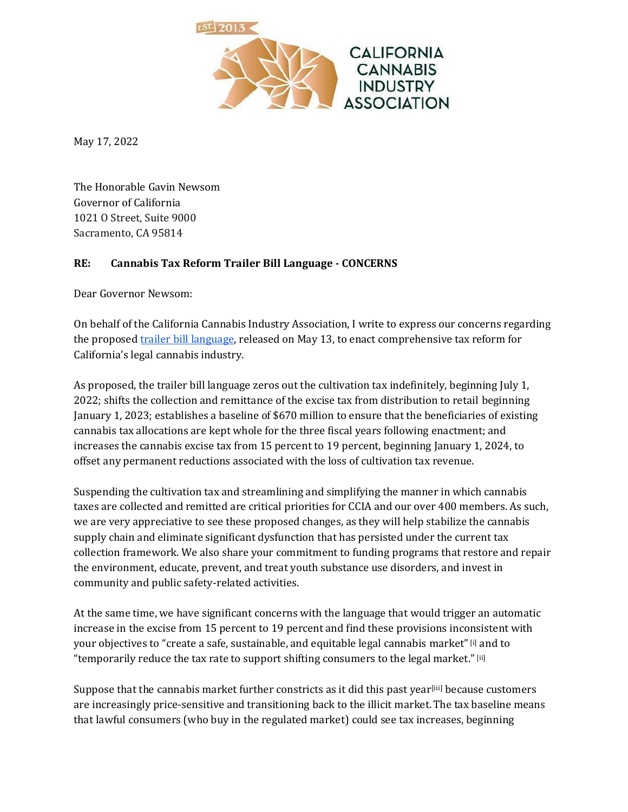

May 17, 2022

The Honorable Gavin Newsom Governor of California 1021 O Street, Suite 9000 Sacramento, CA 95814

## **RE: Cannabis Tax Reform Trailer Bill Language - CONCERNS**

Dear Governor Newsom:

On behalf of the California Cannabis Industry Association, I write to express our concerns regarding the propose[d trailer bill language,](https://esd.dof.ca.gov/trailer-bill/public/trailerBill/pdf/708) released on May 13, to enact comprehensive tax reform for California's legal cannabis industry.

As proposed, the trailer bill language zeros out the cultivation tax indefinitely, beginning July 1, 2022; shifts the collection and remittance of the excise tax from distribution to retail beginning January 1, 2023; establishes a baseline of \$670 million to ensure that the beneficiaries of existing cannabis tax allocations are kept whole for the three fiscal years following enactment; and increases the cannabis excise tax from 15 percent to 19 percent, beginning January 1, 2024, to offset any permanent reductions associated with the loss of cultivation tax revenue.

Suspending the cultivation tax and streamlining and simplifying the manner in which cannabis taxes are collected and remitted are critical priorities for CCIA and our over 400 members. As such, we are very appreciative to see these proposed changes, as they will help stabilize the cannabis supply chain and eliminate significant dysfunction that has persisted under the current tax collection framework. We also share your commitment to funding programs that restore and repair the environment, educate, prevent, and treat youth substance use disorders, and invest in community and public safety-related activities.

At the same time, we have significant concerns with the language that would trigger an automatic increase in the excise from 15 percent to 19 percent and find these provisions inconsistent with your objectives to "create a safe, sustainable, and equitable legal cannabis market" [i] and to "temporarily reduce the tax rate to support shifting consumers to the legal market." [ii]

Suppose that the cannabis market further constricts as it did this past year[iii] because customers are increasingly price-sensitive and transitioning back to the illicit market. The tax baseline means that lawful consumers (who buy in the regulated market) could see tax increases, beginning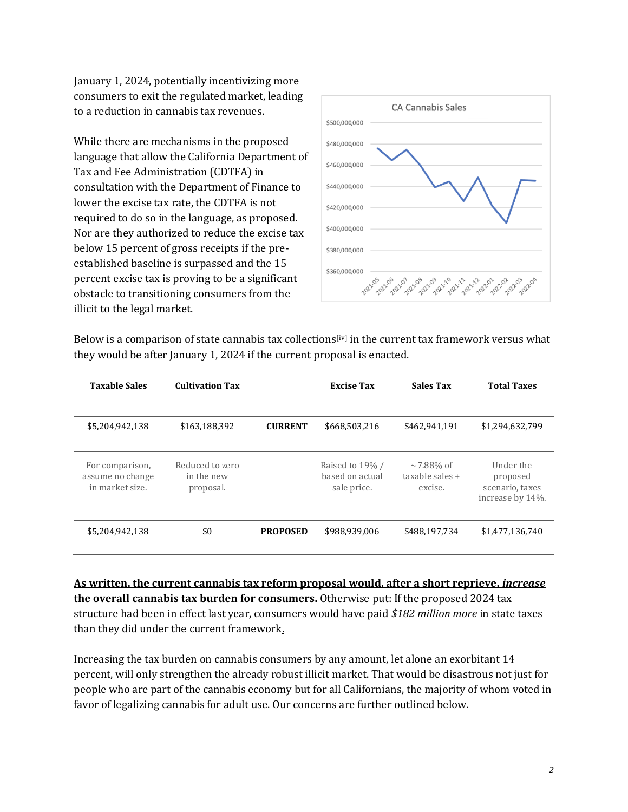January 1, 2024, potentially incentivizing more consumers to exit the regulated market, leading to a reduction in cannabis tax revenues.

While there are mechanisms in the proposed language that allow the California Department of Tax and Fee Administration (CDTFA) in consultation with the Department of Finance to lower the excise tax rate, the CDTFA is not required to do so in the language, as proposed. Nor are they authorized to reduce the excise tax below 15 percent of gross receipts if the preestablished baseline is surpassed and the 15 percent excise tax is proving to be a significant obstacle to transitioning consumers from the illicit to the legal market.



Below is a comparison of state cannabis tax collections<sup>[iv]</sup> in the current tax framework versus what they would be after January 1, 2024 if the current proposal is enacted.

| <b>Taxable Sales</b>                                   | <b>Cultivation Tax</b>                     |                 | <b>Excise Tax</b>                                 | <b>Sales Tax</b>                              | <b>Total Taxes</b>                                           |
|--------------------------------------------------------|--------------------------------------------|-----------------|---------------------------------------------------|-----------------------------------------------|--------------------------------------------------------------|
| \$5.204.942.138                                        | \$163.188.392                              | <b>CURRENT</b>  | \$668,503,216                                     | \$462.941.191                                 | \$1,294,632,799                                              |
| For comparison,<br>assume no change<br>in market size. | Reduced to zero<br>in the new<br>proposal. |                 | Raised to 19% /<br>based on actual<br>sale price. | $\sim$ 7.88% of<br>taxable sales +<br>excise. | Under the<br>proposed<br>scenario, taxes<br>increase by 14%. |
| \$5.204.942.138                                        | \$0                                        | <b>PROPOSED</b> | \$988.939.006                                     | \$488.197.734                                 | \$1.477.136.740                                              |

**As written, the current cannabis tax reform proposal would, after a short reprieve,** *increase* **the overall cannabis tax burden for consumers.** Otherwise put: If the proposed 2024 tax structure had been in effect last year, consumers would have paid *\$182 million more* in state taxes than they did under the current framework.

Increasing the tax burden on cannabis consumers by any amount, let alone an exorbitant 14 percent, will only strengthen the already robust illicit market. That would be disastrous not just for people who are part of the cannabis economy but for all Californians, the majority of whom voted in favor of legalizing cannabis for adult use. Our concerns are further outlined below.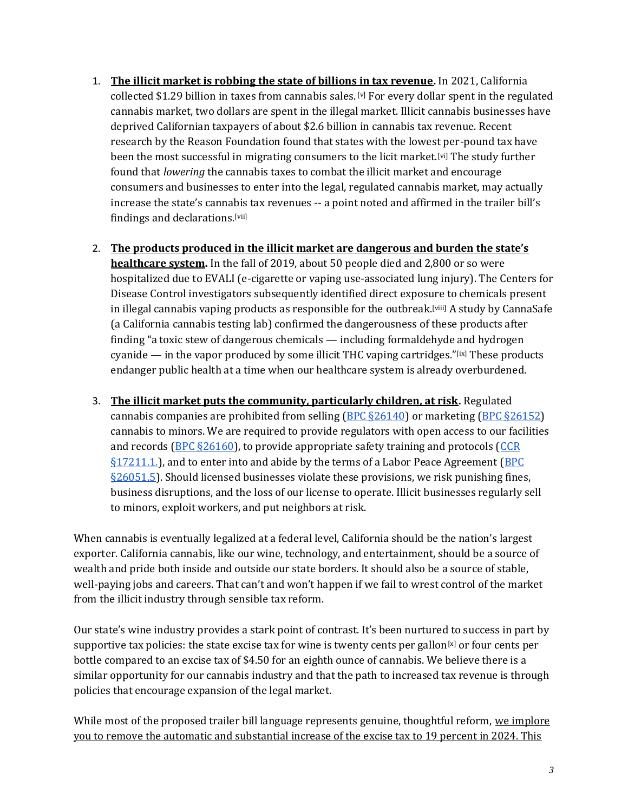- 1. **The illicit market is robbing the state of billions in tax revenue.** In 2021, California collected \$1.29 billion in taxes from cannabis sales. [v] For every dollar spent in the regulated cannabis market, two dollars are spent in the illegal market. Illicit cannabis businesses have deprived Californian taxpayers of about \$2.6 billion in cannabis tax revenue. Recent research by the Reason Foundation found that states with the lowest per-pound tax have been the most successful in migrating consumers to the licit market.[vi] The study further found that *lowering* the cannabis taxes to combat the illicit market and encourage consumers and businesses to enter into the legal, regulated cannabis market, may actually increase the state's cannabis tax revenues -- a point noted and affirmed in the trailer bill's findings and declarations.[vii]
- 2. **The products produced in the illicit market are dangerous and burden the state's healthcare system.** In the fall of 2019, about 50 people died and 2,800 or so were hospitalized due to EVALI (e-cigarette or vaping use-associated lung injury). The Centers for Disease Control investigators subsequently identified direct exposure to chemicals present in illegal cannabis vaping products as responsible for the outbreak.[viii] A study by CannaSafe (a California cannabis testing lab) confirmed the dangerousness of these products after finding "a toxic stew of dangerous chemicals — including formaldehyde and hydrogen cyanide  $-$  in the vapor produced by some illicit THC vaping cartridges." $[ix]$  These products endanger public health at a time when our healthcare system is already overburdened.
- 3. **The illicit market puts the community, particularly children, at risk.** Regulated cannabis companies are prohibited from selling  $\left(BPC \S26140\right)$  or marketing  $\left(BPC \S26152\right)$ cannabis to minors. We are required to provide regulators with open access to our facilities and records ( $BPC \$  $826160$ ), to provide appropriate safety training and protocols (CCR  $\S 17211.1$ .), and to enter into and abide by the terms of a Labor Peace Agreement ( $\overline{BPC}$  $§26051.5$ ). Should licensed businesses violate these provisions, we risk punishing fines, business disruptions, and the loss of our license to operate. Illicit businesses regularly sell to minors, exploit workers, and put neighbors at risk.

When cannabis is eventually legalized at a federal level, California should be the nation's largest exporter. California cannabis, like our wine, technology, and entertainment, should be a source of wealth and pride both inside and outside our state borders. It should also be a source of stable, well-paying jobs and careers. That can't and won't happen if we fail to wrest control of the market from the illicit industry through sensible tax reform.

Our state's wine industry provides a stark point of contrast. It's been nurtured to success in part by supportive tax policies: the state excise tax for wine is twenty cents per gallon<sup>[x]</sup> or four cents per bottle compared to an excise tax of \$4.50 for an eighth ounce of cannabis. We believe there is a similar opportunity for our cannabis industry and that the path to increased tax revenue is through policies that encourage expansion of the legal market.

While most of the proposed trailer bill language represents genuine, thoughtful reform, we implore you to remove the automatic and substantial increase of the excise tax to 19 percent in 2024. This